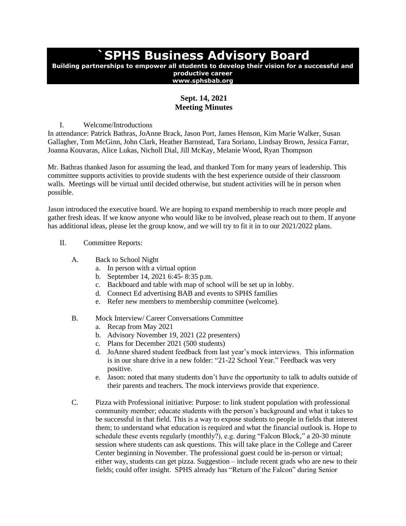## **`SPHS Business Advisory Board**

**Building partnerships to empower all students to develop their vision for a successful and productive career www.sphsbab.org**

## **Sept. 14, 2021 Meeting Minutes**

I. Welcome/Introductions

In attendance: Patrick Bathras, JoAnne Brack, Jason Port, James Henson, Kim Marie Walker, Susan Gallagher, Tom McGinn, John Clark, Heather Barnstead, Tara Soriano, Lindsay Brown, Jessica Farrar, Joanna Kouvaras, Alice Lukas, Nicholl Dial, Jill McKay, Melanie Wood, Ryan Thompson

Mr. Bathras thanked Jason for assuming the lead, and thanked Tom for many years of leadership. This committee supports activities to provide students with the best experience outside of their classroom walls. Meetings will be virtual until decided otherwise, but student activities will be in person when possible.

Jason introduced the executive board. We are hoping to expand membership to reach more people and gather fresh ideas. If we know anyone who would like to be involved, please reach out to them. If anyone has additional ideas, please let the group know, and we will try to fit it in to our 2021/2022 plans.

## II. Committee Reports:

- A. Back to School Night
	- a. In person with a virtual option
	- b. September 14, 2021 6:45- 8:35 p.m.
	- c. Backboard and table with map of school will be set up in lobby.
	- d. Connect Ed advertising BAB and events to SPHS families
	- e. Refer new members to membership committee (welcome).
- B. Mock Interview/ Career Conversations Committee
	- a. Recap from May 2021
	- b. Advisory November 19, 2021 (22 presenters)
	- c. Plans for December 2021 (500 students)
	- d. JoAnne shared student feedback from last year's mock interviews. This information is in our share drive in a new folder: "21-22 School Year." Feedback was very positive.
	- e. Jason: noted that many students don't have the opportunity to talk to adults outside of their parents and teachers. The mock interviews provide that experience.
- C. Pizza with Professional initiative: Purpose: to link student population with professional community member; educate students with the person's background and what it takes to be successful in that field. This is a way to expose students to people in fields that interest them; to understand what education is required and what the financial outlook is. Hope to schedule these events regularly (monthly?), e.g. during "Falcon Block," a 20-30 minute session where students can ask questions. This will take place in the College and Career Center beginning in November. The professional guest could be in-person or virtual; either way, students can get pizza. Suggestion – include recent grads who are new to their fields; could offer insight. SPHS already has "Return of the Falcon" during Senior